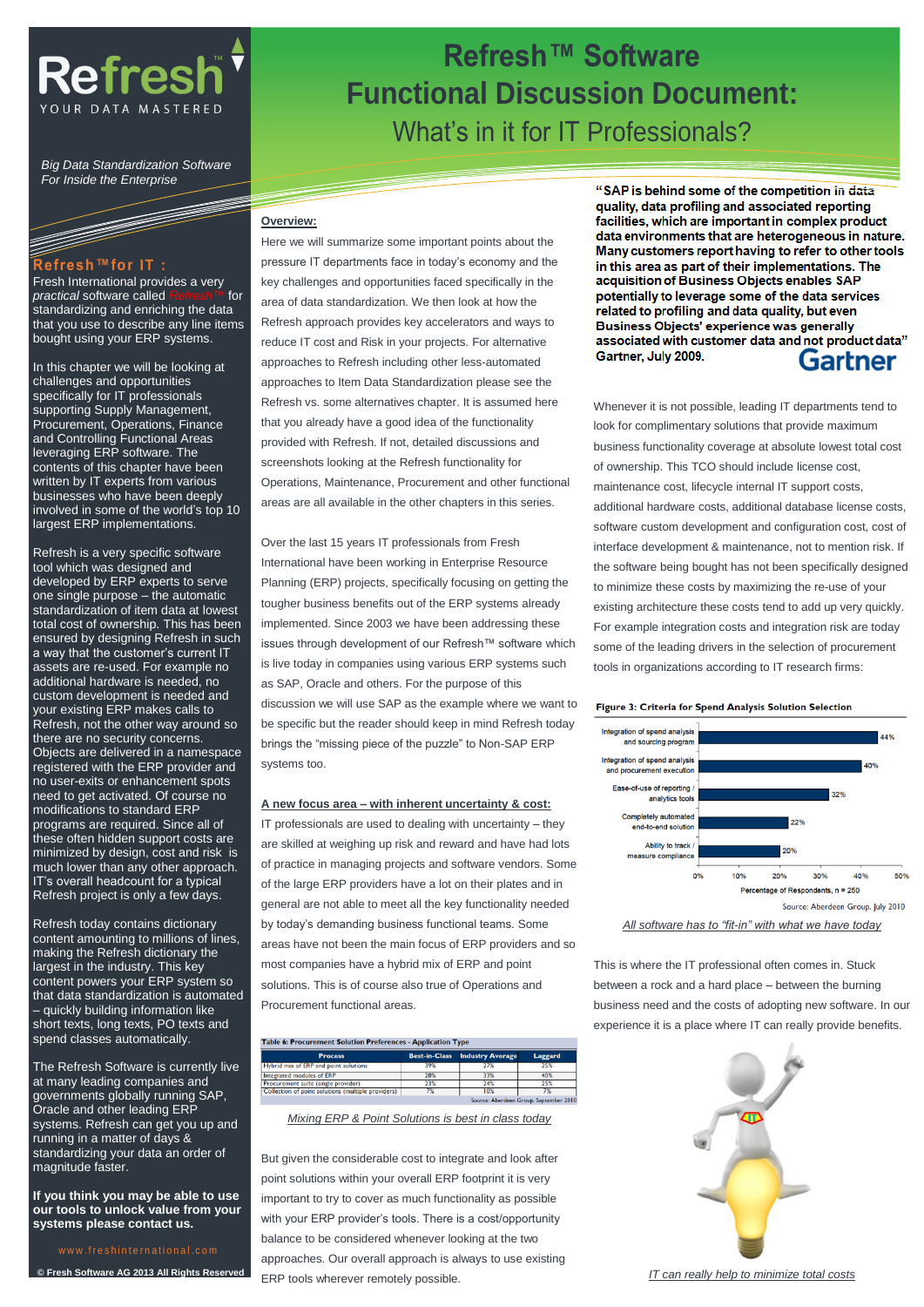

*Big Data Standardization Software For Inside the Enterprise*

### **Refresh™for IT :**

Fresh International provides a very *practical* software called *Refresh™* for standardizing and enriching the data that you use to describe any line items bought using your ERP systems.

In this chapter we will be looking at challenges and opportunities specifically for IT professionals supporting Supply Management, Procurement, Operations, Finance and Controlling Functional Areas leveraging ERP software. The contents of this chapter have been written by IT experts from various businesses who have been deeply involved in some of the world's top 10 largest ERP implementations.

Refresh is a very specific software tool which was designed and developed by ERP experts to serve one single purpose – the automatic standardization of item data at lowest total cost of ownership. This has been ensured by designing Refresh in such a way that the customer's current IT assets are re-used. For example no additional hardware is needed, no custom development is needed and your existing ERP makes calls to Refresh, not the other way around so there are no security concerns. Objects are delivered in a namespace registered with the ERP provider and no user-exits or enhancement spots need to get activated. Of course no modifications to standard ERP programs are required. Since all of these often hidden support costs are minimized by design, cost and risk is much lower than any other approach. IT's overall headcount for a typical Refresh project is only a few days.

Refresh today contains dictionary content amounting to millions of lines, making the Refresh dictionary the largest in the industry. This key content powers your ERP system so that data standardization is automated – quickly building information like short texts, long texts, PO texts and spend classes automatically.

The Refresh Software is currently live at many leading companies and governments globally running SAP, Oracle and other leading ERP systems. Refresh can get you up and running in a matter of days & standardizing your data an order of magnitude faster.

**If you think you may be able to use our tools to unlock value from your systems please contact us.**

www.freshinternational.com **© Fresh Software AG 2013 All Rights Reserved**

## **Refresh™ Software Functional Discussion Document:** What's in it for IT Professionals?

#### **Overview:**

Here we will summarize some important points about the pressure IT departments face in today's economy and the key challenges and opportunities faced specifically in the area of data standardization. We then look at how the Refresh approach provides key accelerators and ways to reduce IT cost and Risk in your projects. For alternative approaches to Refresh including other less-automated approaches to Item Data Standardization please see the Refresh vs. some alternatives chapter. It is assumed here that you already have a good idea of the functionality provided with Refresh. If not, detailed discussions and screenshots looking at the Refresh functionality for Operations, Maintenance, Procurement and other functional areas are all available in the other chapters in this series.

Over the last 15 years IT professionals from Fresh International have been working in Enterprise Resource Planning (ERP) projects, specifically focusing on getting the tougher business benefits out of the ERP systems already implemented. Since 2003 we have been addressing these issues through development of our Refresh™ software which is live today in companies using various ERP systems such as SAP, Oracle and others. For the purpose of this discussion we will use SAP as the example where we want to be specific but the reader should keep in mind Refresh today brings the "missing piece of the puzzle" to Non-SAP ERP systems too.

### **A new focus area – with inherent uncertainty & cost:**

IT professionals are used to dealing with uncertainty – they are skilled at weighing up risk and reward and have had lots of practice in managing projects and software vendors. Some of the large ERP providers have a lot on their plates and in general are not able to meet all the key functionality needed by today's demanding business functional teams. Some areas have not been the main focus of ERP providers and so most companies have a hybrid mix of ERP and point solutions. This is of course also true of Operations and Procurement functional areas.

| Table 6: Procurement Solution Preferences - Application Type |     |                                       |                                         |  |  |
|--------------------------------------------------------------|-----|---------------------------------------|-----------------------------------------|--|--|
| <b>Process</b>                                               |     | <b>Best-in-Class</b> Industry Average | Laggard                                 |  |  |
| Hybrid mix of ERP and point solutions                        | 39% | 27%                                   | 25%                                     |  |  |
| Integrated modules of ERP                                    | 28% | 33%                                   | 40%                                     |  |  |
| Procurement suite (single provider)                          | 23% | 24%                                   | 25%                                     |  |  |
| Collection of point solutions (multiple providers)           | 7%  | 10%                                   | 7%                                      |  |  |
|                                                              |     |                                       | Courses Abanders Course Consenting 2014 |  |  |

*Mixing ERP & Point Solutions is best in class today*

But given the considerable cost to integrate and look after point solutions within your overall ERP footprint it is very important to try to cover as much functionality as possible with your ERP provider's tools. There is a cost/opportunity balance to be considered whenever looking at the two approaches. Our overall approach is always to use existing ERP tools wherever remotely possible.

"SAP is behind some of the competition in data quality, data profiling and associated reporting facilities, which are important in complex product data environments that are heterogeneous in nature. Many customers report having to refer to other tools in this area as part of their implementations. The acquisition of Business Objects enables SAP potentially to leverage some of the data services related to profiling and data quality, but even Business Objects' experience was generally associated with customer data and not product data" Gartner, July 2009. Gartner

Whenever it is not possible, leading IT departments tend to look for complimentary solutions that provide maximum business functionality coverage at absolute lowest total cost of ownership. This TCO should include license cost, maintenance cost, lifecycle internal IT support costs, additional hardware costs, additional database license costs, software custom development and configuration cost, cost of interface development & maintenance, not to mention risk. If the software being bought has not been specifically designed to minimize these costs by maximizing the re-use of your existing architecture these costs tend to add up very quickly. For example integration costs and integration risk are today some of the leading drivers in the selection of procurement tools in organizations according to IT research firms:

#### Figure 3: Criteria for Spend Analysis Solution Selection



This is where the IT professional often comes in. Stuck between a rock and a hard place – between the burning business need and the costs of adopting new software. In our experience it is a place where IT can really provide benefits.



*IT can really help to minimize total costs*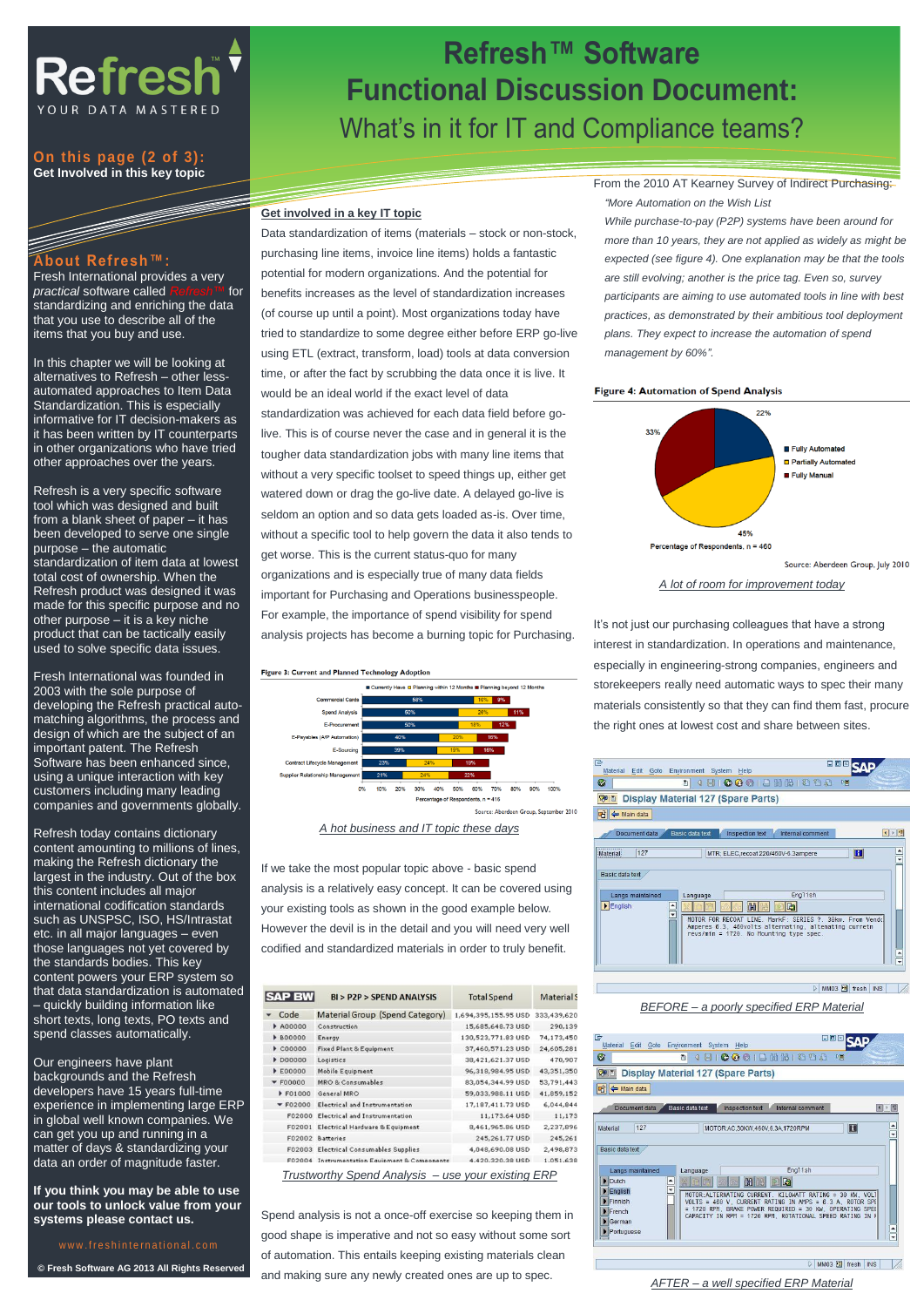

### **On this page (2 of 3): Get Involved in this key topic**

## **About Refresh™:**

Fresh International provides a very *practical* software called *Refresh™* for standardizing and enriching the data that you use to describe all of the items that you buy and use.

In this chapter we will be looking at alternatives to Refresh – other lessautomated approaches to Item Data Standardization. This is especially informative for IT decision-makers as it has been written by IT counterparts in other organizations who have tried other approaches over the years.

Refresh is a very specific software tool which was designed and built from a blank sheet of paper – it has been developed to serve one single purpose – the automatic standardization of item data at lowest total cost of ownership. When the Refresh product was designed it was made for this specific purpose and no other purpose – it is a key niche product that can be tactically easily used to solve specific data issues.

Fresh International was founded in 2003 with the sole purpose of developing the Refresh practical automatching algorithms, the process and design of which are the subject of an important patent. The Refresh Software has been enhanced since, using a unique interaction with key customers including many leading companies and governments globally.

Refresh today contains dictionary content amounting to millions of lines, making the Refresh dictionary the largest in the industry. Out of the box this content includes all major international codification standards such as UNSPSC, ISO, HS/Intrastat etc. in all major languages – even those languages not yet covered by the standards bodies. This key content powers your ERP system so that data standardization is automated – quickly building information like short texts, long texts, PO texts and spend classes automatically.

Our engineers have plant backgrounds and the Refresh developers have 15 years full-time experience in implementing large ERP in global well known companies. We can get you up and running in a matter of days & standardizing your data an order of magnitude faster.

**If you think you may be able to use our tools to unlock value from your systems please contact us.**

## w w w . freshinternational.com

**© Fresh Software AG 2013 All Rights Reserved**

## **Refresh™ Software Functional Discussion Document:** What's in it for IT and Compliance teams?

### **Get involved in a key IT topic**

Data standardization of items (materials – stock or non-stock, purchasing line items, invoice line items) holds a fantastic potential for modern organizations. And the potential for benefits increases as the level of standardization increases (of course up until a point). Most organizations today have tried to standardize to some degree either before ERP go-live using ETL (extract, transform, load) tools at data conversion time, or after the fact by scrubbing the data once it is live. It would be an ideal world if the exact level of data

standardization was achieved for each data field before golive. This is of course never the case and in general it is the tougher data standardization jobs with many line items that without a very specific toolset to speed things up, either get watered down or drag the go-live date. A delayed go-live is seldom an option and so data gets loaded as-is. Over time, without a specific tool to help govern the data it also tends to get worse. This is the current status-quo for many organizations and is especially true of many data fields important for Purchasing and Operations businesspeople. For example, the importance of spend visibility for spend analysis projects has become a burning topic for Purchasing.



50%  $ints, n = 416$ 

*A hot business and IT topic these days*

If we take the most popular topic above - basic spend analysis is a relatively easy concept. It can be covered using your existing tools as shown in the good example below. However the devil is in the detail and you will need very well codified and standardized materials in order to truly benefit.

| <b>SAP BW</b> | BI > P2P > SPEND ANALYSIS                            | <b>Total Spend</b>   | <b>Material</b> S |
|---------------|------------------------------------------------------|----------------------|-------------------|
| Code          | Material Group (Spend Category)                      | 1,694,395,155.95 USD | 333,439,620       |
| A00000        | Construction                                         | 15,685,648.73 USD    | 290,139           |
| <b>B00000</b> | Energy                                               | 130,523,771.83 USD   | 74,173,450        |
| $*$ $C00000$  | Fixed Plant & Equipment                              | 37,460,571.23 USD    | 24,605,281        |
| D00000        | Logistics                                            | 38,421,621.37 USD    | 470,907           |
| <b>E00000</b> | <b>Mobile Equipment</b>                              | 96,318,984,95 USD    | 43,351,350        |
| F00000        | <b>MRO &amp; Consumables</b>                         | 83,054,344.99 USD    | 53,791,443        |
| F01000        | General MRO                                          | 59,033,988.11 USD    | 41,859,152        |
| F02000        | Electrical and Instrumentation                       | 17,187,411.73 USD    | 6,044,844         |
| F02000        | Electrical and Instrumentation                       | 11,173.64 USD        | 11,173            |
| F02001        | Electrical Hardware & Equipment                      | 8,461,965.86 USD     | 2,237,896         |
| F02002        | <b>Batteries</b>                                     | 245,261.77 USD       | 245,261           |
|               | F02003 Electrical Consumables Supplies               | 4,048,690.08 USD     | 2,498,873         |
|               | <b>F02004</b> Instrumentation Equipment & Components | 4.420.320.38 USD     | 1.051.638         |

*Trustworthy Spend Analysis – use your existing ERP*

Spend analysis is not a once-off exercise so keeping them in good shape is imperative and not so easy without some sort of automation. This entails keeping existing materials clean and making sure any newly created ones are up to spec.

From the 2010 AT Kearney Survey of Indirect Purchasing: *"More Automation on the Wish List*

*While purchase-to-pay (P2P) systems have been around for more than 10 years, they are not applied as widely as might be expected (see figure 4). One explanation may be that the tools are still evolving; another is the price tag. Even so, survey participants are aiming to use automated tools in line with best practices, as demonstrated by their ambitious tool deployment plans. They expect to increase the automation of spend management by 60%".*

#### Figure 4: Automation of Spend Analysis



*A lot of room for improvement today*

It's not just our purchasing colleagues that have a strong interest in standardization. In operations and maintenance, especially in engineering-strong companies, engineers and storekeepers really need automatic ways to spec their many materials consistently so that they can find them fast, procure the right ones at lowest cost and share between sites.



*BEFORE – a poorly specified ERP Material*



*AFTER – a well specified ERP Material*